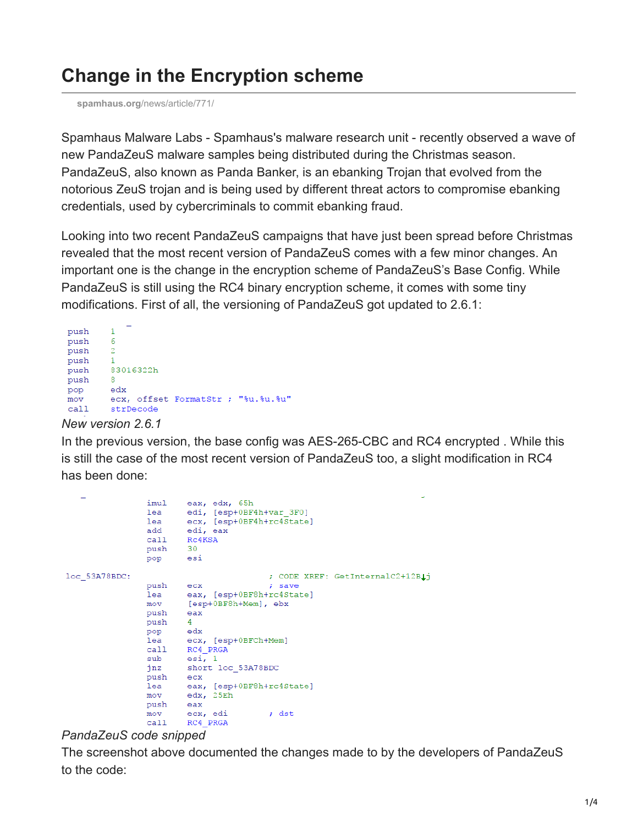# **Change in the Encryption scheme**

**spamhaus.org**[/news/article/771/](https://www.spamhaus.org/news/article/771/)

Spamhaus Malware Labs - Spamhaus's malware research unit - recently observed a wave of new PandaZeuS malware samples being distributed during the Christmas season. PandaZeuS, also known as Panda Banker, is an ebanking Trojan that evolved from the notorious ZeuS trojan and is being used by different threat actors to compromise ebanking credentials, used by cybercriminals to commit ebanking fraud.

Looking into two recent PandaZeuS campaigns that have just been spread before Christmas revealed that the most recent version of PandaZeuS comes with a few minor changes. An important one is the change in the encryption scheme of PandaZeuS's Base Config. While PandaZeuS is still using the RC4 binary encryption scheme, it comes with some tiny modifications. First of all, the versioning of PandaZeuS got updated to 2.6.1:

```
push
          \mathbf{1}push
          6
          \overline{2}push
push
          \mathbf{1}push
          83016322h
push
          _{\rm 8}pop
          edx
          ecx, offset FormatStr ; "%u.%u.%u"
m \circ vcallstrDecode
```
#### *New version 2.6.1*

In the previous version, the base config was AES-265-CBC and RC4 encrypted . While this is still the case of the most recent version of PandaZeuS too, a slight modification in RC4 has been done:

```
eax, edx, 65h
                 imul
                         edi, [esp+0BF4h+var_3F0]
                lea
                         ecx, [esp+0BF4h+rc4State]
                 lea
                add
                         edi, eax
                         RC4KSA
                call
                push
                         30
                         esi
                pop
loc 53A78BDC:
                                          ; CODE XREF: GetInternalC2+12B1j
                push
                                          ; save
                         _{\rm{ex}}eax, [esp+0BF8h+rc4State]
                lea
                         [esp+0BF8h+Mem], ebx
                movpush
                         eax
                push
                         \overline{4}_{\rm edx}pop
                1ea
                         ecx, [esp+0BFCh+Mem]
                cal1RC4 PRGA
                 sub
                         esi, 1jnz
                         short loc 53A78BDC
                 push
                         exceax, [esp+0BF8h+rc4State]
                 lea
                movedx, 25Ehpush
                         eax
                m \circ vecx, edi
                                          : dst
                 call
                         RC4_PRGA
```
#### *PandaZeuS code snipped*

The screenshot above documented the changes made to by the developers of PandaZeuS to the code: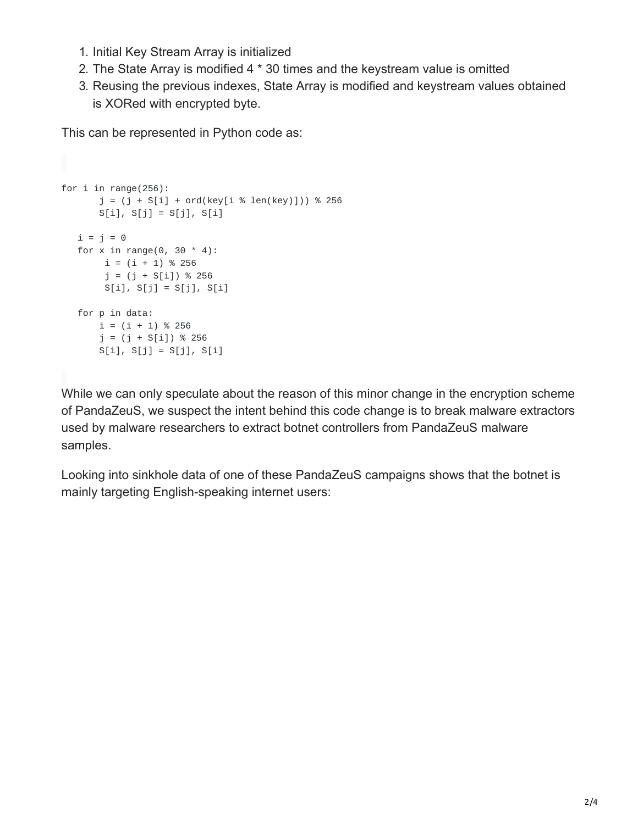- 1. Initial Key Stream Array is initialized
- 2. The State Array is modified 4 \* 30 times and the keystream value is omitted
- 3. Reusing the previous indexes, State Array is modified and keystream values obtained is XORed with encrypted byte.

This can be represented in Python code as:

```
for i in range(256):
      j = (j + S[i] + ord(key[i % len(key)])) % 256S[i], S[j] = S[j], S[i]i = j = 0for x in range(0, 30 * 4):
       i = (i + 1) % 256j = (j + S[i]) % 256S[i], S[j] = S[j], S[i]for p in data:
      i = (i + 1) % 256j = (j + S[i]) % 256S[i], S[j] = S[j], S[i]
```
While we can only speculate about the reason of this minor change in the encryption scheme of PandaZeuS, we suspect the intent behind this code change is to break malware extractors used by malware researchers to extract botnet controllers from PandaZeuS malware samples.

Looking into sinkhole data of one of these PandaZeuS campaigns shows that the botnet is mainly targeting English-speaking internet users: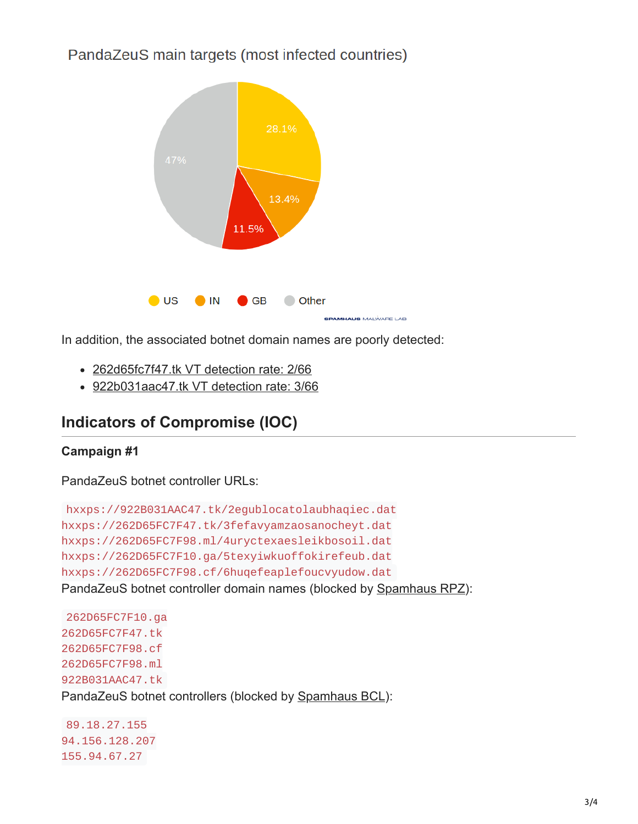PandaZeuS main targets (most infected countries)



In addition, the associated botnet domain names are poorly detected:

- [262d65fc7f47.tk VT detection rate: 2/66](https://www.virustotal.com/#/url/0d2db3113c5695ade52a99b9091f60e418dadc272777ba9bea32a00b439cfe19/detection)
- [922b031aac47.tk VT detection rate: 3/66](https://www.virustotal.com/#/url/17bc05d7363460ead2cff54c6030232e8f70de1c1529ad71e8e4e25f7d55a1cc/detection)

# **Indicators of Compromise (IOC)**

### **Campaign #1**

PandaZeuS botnet controller URLs:

```
hxxps://922B031AAC47.tk/2egublocatolaubhaqiec.dat
hxxps://262D65FC7F47.tk/3fefavyamzaosanocheyt.dat
hxxps://262D65FC7F98.ml/4uryctexaesleikbosoil.dat
hxxps://262D65FC7F10.ga/5texyiwkuoffokirefeub.dat
hxxps://262D65FC7F98.cf/6huqefeaplefoucvyudow.dat
Spamhaus RPZ):
```

```
262D65FC7F10.ga
262D65FC7F47.tk
262D65FC7F98.cf
262D65FC7F98.ml
922B031AAC47.tk
PandaZeuS botnet controllers (blocked by Spamhaus BCL):
```
89.18.27.155 94.156.128.207 155.94.67.27